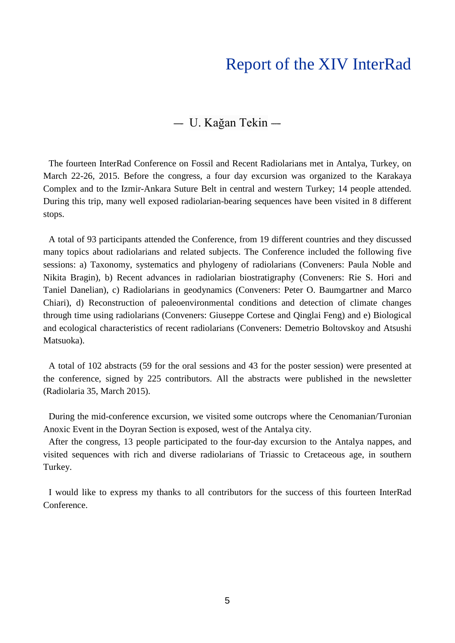## Report of the XIV InterRad

## $-$  U. Kağan Tekin  $-$

The fourteen InterRad Conference on Fossil and Recent Radiolarians met in Antalya, Turkey, on March 22-26, 2015. Before the congress, a four day excursion was organized to the Karakaya Complex and to the Izmir-Ankara Suture Belt in central and western Turkey; 14 people attended. During this trip, many well exposed radiolarian-bearing sequences have been visited in 8 different stops.

A total of 93 participants attended the Conference, from 19 different countries and they discussed many topics about radiolarians and related subjects. The Conference included the following five sessions: a) Taxonomy, systematics and phylogeny of radiolarians (Conveners: Paula Noble and Nikita Bragin), b) Recent advances in radiolarian biostratigraphy (Conveners: Rie S. Hori and Taniel Danelian), c) Radiolarians in geodynamics (Conveners: Peter O. Baumgartner and Marco Chiari), d) Reconstruction of paleoenvironmental conditions and detection of climate changes through time using radiolarians (Conveners: Giuseppe Cortese and Qinglai Feng) and e) Biological and ecological characteristics of recent radiolarians (Conveners: Demetrio Boltovskoy and Atsushi Matsuoka).

A total of 102 abstracts (59 for the oral sessions and 43 for the poster session) were presented at the conference, signed by 225 contributors. All the abstracts were published in the newsletter (Radiolaria 35, March 2015).

During the mid-conference excursion, we visited some outcrops where the Cenomanian/Turonian Anoxic Event in the Doyran Section is exposed, west of the Antalya city.

After the congress, 13 people participated to the four-day excursion to the Antalya nappes, and visited sequences with rich and diverse radiolarians of Triassic to Cretaceous age, in southern Turkey.

I would like to express my thanks to all contributors for the success of this fourteen InterRad Conference.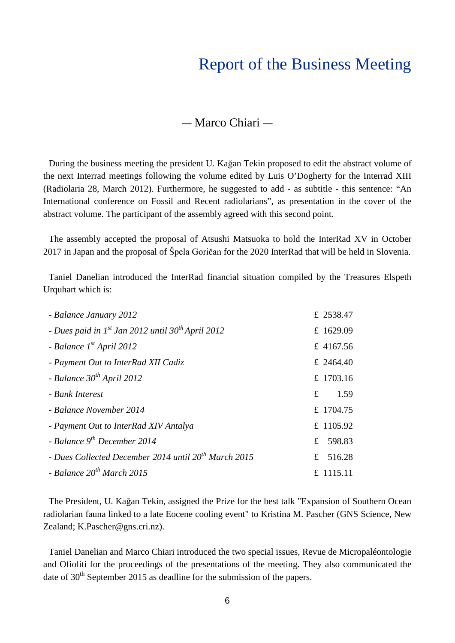## Report of the Business Meeting

## $-$  Marco Chiari  $-$

During the business meeting the president U. Kağan Tekin proposed to edit the abstract volume of the next Interrad meetings following the volume edited by Luis O'Dogherty for the Interrad XIII (Radiolaria 28, March 2012). Furthermore, he suggested to add - as subtitle - this sentence: "An International conference on Fossil and Recent radiolarians", as presentation in the cover of the abstract volume. The participant of the assembly agreed with this second point.

The assembly accepted the proposal of Atsushi Matsuoka to hold the InterRad XV in October 2017 in Japan and the proposal of Špela Goričan for the 2020 InterRad that will be held in Slovenia.

Taniel Danelian introduced the InterRad financial situation compiled by the Treasures Elspeth Urquhart which is:

| - Balance January 2012                                             | £ 2538.47           |
|--------------------------------------------------------------------|---------------------|
| - Dues paid in $I^{st}$ Jan 2012 until 30 <sup>th</sup> April 2012 | £ 1629.09           |
| - Balance $1^{st}$ April 2012                                      | £ 4167.56           |
| - Payment Out to InterRad XII Cadiz                                | £ 2464.40           |
| - Balance $30^{th}$ April 2012                                     | £ 1703.16           |
| - Bank Interest                                                    | 1.59<br>$f_{\cdot}$ |
| - Balance November 2014                                            | £ 1704.75           |
| - Payment Out to InterRad XIV Antalya                              | £ 1105.92           |
| - Balance $9^{th}$ December 2014                                   | 598.83<br>£         |
| - Dues Collected December 2014 until 20 <sup>th</sup> March 2015   | £ $516.28$          |
| - Balance $20^{th}$ March 2015                                     | £ 1115.11           |

The President, U. Kağan Tekin, assigned the Prize for the best talk "Expansion of Southern Ocean radiolarian fauna linked to a late Eocene cooling event" to Kristina M. Pascher (GNS Science, New Zealand; K.Pascher@gns.cri.nz).

Taniel Danelian and Marco Chiari introduced the two special issues, Revue de Micropaléontologie and Ofioliti for the proceedings of the presentations of the meeting. They also communicated the date of  $30<sup>th</sup>$  September 2015 as deadline for the submission of the papers.